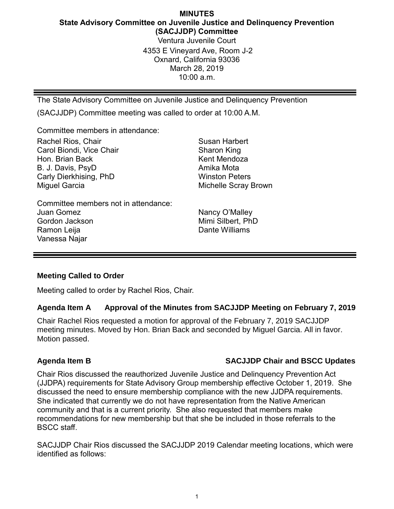# **MINUTES State Advisory Committee on Juvenile Justice and Delinquency Prevention (SACJJDP) Committee** Ventura Juvenile Court 4353 E Vineyard Ave, Room J-2 Oxnard, California 93036 March 28, 2019

10:00 a.m.

The State Advisory Committee on Juvenile Justice and Delinquency Prevention

(SACJJDP) Committee meeting was called to order at 10:00 A.M.

Committee members in attendance:

Rachel Rios, Chair Carol Biondi, Vice Chair Hon. Brian Back B. J. Davis, PsyD Carly Dierkhising, PhD Miguel Garcia

Committee members not in attendance: Juan Gomez Gordon Jackson Ramon Leija Vanessa Najar

Susan Harbert Sharon King Kent Mendoza Amika Mota Winston Peters Michelle Scray Brown

Nancy O'Malley Mimi Silbert, PhD Dante Williams

### **Meeting Called to Order**

Meeting called to order by Rachel Rios, Chair.

### **Agenda Item A Approval of the Minutes from SACJJDP Meeting on February 7, 2019**

Chair Rachel Rios requested a motion for approval of the February 7, 2019 SACJJDP meeting minutes. Moved by Hon. Brian Back and seconded by Miguel Garcia. All in favor. Motion passed.

## **Agenda Item B SACJJDP Chair and BSCC Updates**

Chair Rios discussed the reauthorized Juvenile Justice and Delinquency Prevention Act (JJDPA) requirements for State Advisory Group membership effective October 1, 2019. She discussed the need to ensure membership compliance with the new JJDPA requirements. She indicated that currently we do not have representation from the Native American community and that is a current priority. She also requested that members make recommendations for new membership but that she be included in those referrals to the BSCC staff.

SACJJDP Chair Rios discussed the SACJJDP 2019 Calendar meeting locations, which were identified as follows: